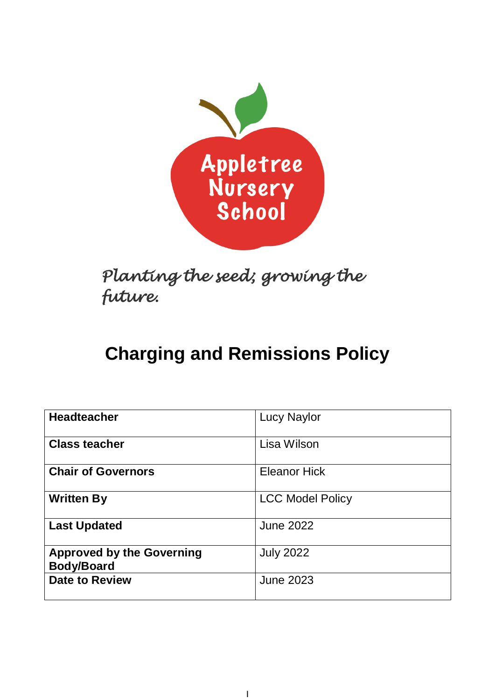

*Planting the seed; growing the future.* 

# **Charging and Remissions Policy**

| <b>Headteacher</b>                                    | <b>Lucy Naylor</b>      |
|-------------------------------------------------------|-------------------------|
| <b>Class teacher</b>                                  | Lisa Wilson             |
| <b>Chair of Governors</b>                             | <b>Eleanor Hick</b>     |
| <b>Written By</b>                                     | <b>LCC Model Policy</b> |
| <b>Last Updated</b>                                   | <b>June 2022</b>        |
| <b>Approved by the Governing</b><br><b>Body/Board</b> | <b>July 2022</b>        |
| <b>Date to Review</b>                                 | <b>June 2023</b>        |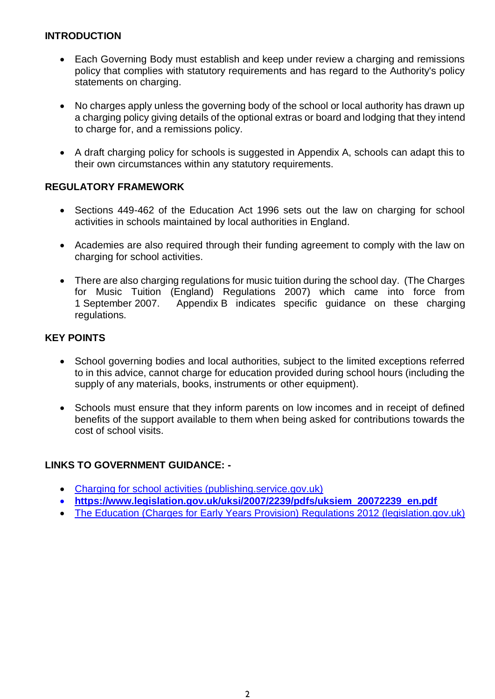# **INTRODUCTION**

- Each Governing Body must establish and keep under review a charging and remissions policy that complies with statutory requirements and has regard to the Authority's policy statements on charging.
- No charges apply unless the governing body of the school or local authority has drawn up a charging policy giving details of the optional extras or board and lodging that they intend to charge for, and a remissions policy.
- A draft charging policy for schools is suggested in Appendix A, schools can adapt this to their own circumstances within any statutory requirements.

## **REGULATORY FRAMEWORK**

- Sections 449-462 of the Education Act 1996 sets out the law on charging for school activities in schools maintained by local authorities in England.
- Academies are also required through their funding agreement to comply with the law on charging for school activities.
- There are also charging regulations for music tuition during the school day. (The Charges for Music Tuition (England) Regulations 2007) which came into force from 1 September 2007. Appendix B indicates specific guidance on these charging regulations.

## **KEY POINTS**

- School governing bodies and local authorities, subject to the limited exceptions referred to in this advice, cannot charge for education provided during school hours (including the supply of any materials, books, instruments or other equipment).
- Schools must ensure that they inform parents on low incomes and in receipt of defined benefits of the support available to them when being asked for contributions towards the cost of school visits.

# **LINKS TO GOVERNMENT GUIDANCE: -**

- [Charging for school activities \(publishing.service.gov.uk\)](https://assets.publishing.service.gov.uk/government/uploads/system/uploads/attachment_data/file/706830/Charging_for_school_activities.pdf)
- **[https://www.legislation.gov.uk/uksi/2007/2239/pdfs/uksiem\\_20072239\\_en.pdf](https://www.legislation.gov.uk/uksi/2007/2239/pdfs/uksiem_20072239_en.pdf)**
- [The Education \(Charges for Early Years Provision\) Regulations 2012 \(legislation.gov.uk\)](https://www.legislation.gov.uk/uksi/2012/962/regulation/2/made#f00003)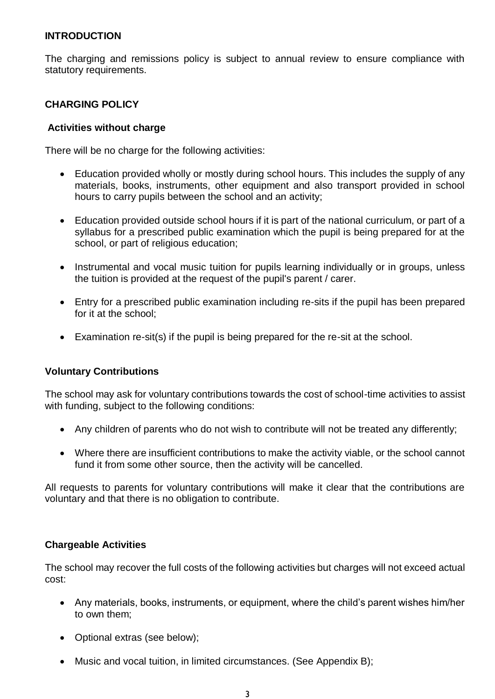## **INTRODUCTION**

The charging and remissions policy is subject to annual review to ensure compliance with statutory requirements.

## **CHARGING POLICY**

#### **Activities without charge**

There will be no charge for the following activities:

- Education provided wholly or mostly during school hours. This includes the supply of any materials, books, instruments, other equipment and also transport provided in school hours to carry pupils between the school and an activity;
- Education provided outside school hours if it is part of the national curriculum, or part of a syllabus for a prescribed public examination which the pupil is being prepared for at the school, or part of religious education;
- Instrumental and vocal music tuition for pupils learning individually or in groups, unless the tuition is provided at the request of the pupil's parent / carer.
- Entry for a prescribed public examination including re-sits if the pupil has been prepared for it at the school;
- Examination re-sit(s) if the pupil is being prepared for the re-sit at the school.

## **Voluntary Contributions**

The school may ask for voluntary contributions towards the cost of school-time activities to assist with funding, subject to the following conditions:

- Any children of parents who do not wish to contribute will not be treated any differently;
- Where there are insufficient contributions to make the activity viable, or the school cannot fund it from some other source, then the activity will be cancelled.

All requests to parents for voluntary contributions will make it clear that the contributions are voluntary and that there is no obligation to contribute.

#### **Chargeable Activities**

The school may recover the full costs of the following activities but charges will not exceed actual cost:

- Any materials, books, instruments, or equipment, where the child's parent wishes him/her to own them;
- Optional extras (see below);
- Music and vocal tuition, in limited circumstances. (See Appendix B);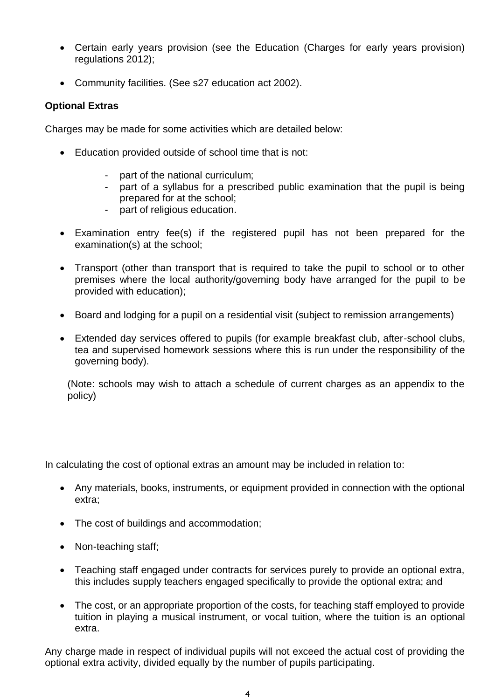- Certain early years provision (see the Education (Charges for early years provision) regulations 2012);
- Community facilities. (See s27 education act 2002).

## **Optional Extras**

Charges may be made for some activities which are detailed below:

- Education provided outside of school time that is not:
	- part of the national curriculum;
	- part of a syllabus for a prescribed public examination that the pupil is being prepared for at the school;
	- part of religious education.
- Examination entry fee(s) if the registered pupil has not been prepared for the examination(s) at the school;
- Transport (other than transport that is required to take the pupil to school or to other premises where the local authority/governing body have arranged for the pupil to be provided with education);
- Board and lodging for a pupil on a residential visit (subject to remission arrangements)
- Extended day services offered to pupils (for example breakfast club, after-school clubs, tea and supervised homework sessions where this is run under the responsibility of the governing body).

(Note: schools may wish to attach a schedule of current charges as an appendix to the policy)

In calculating the cost of optional extras an amount may be included in relation to:

- Any materials, books, instruments, or equipment provided in connection with the optional extra;
- The cost of buildings and accommodation;
- Non-teaching staff;
- Teaching staff engaged under contracts for services purely to provide an optional extra, this includes supply teachers engaged specifically to provide the optional extra; and
- The cost, or an appropriate proportion of the costs, for teaching staff employed to provide tuition in playing a musical instrument, or vocal tuition, where the tuition is an optional extra.

Any charge made in respect of individual pupils will not exceed the actual cost of providing the optional extra activity, divided equally by the number of pupils participating.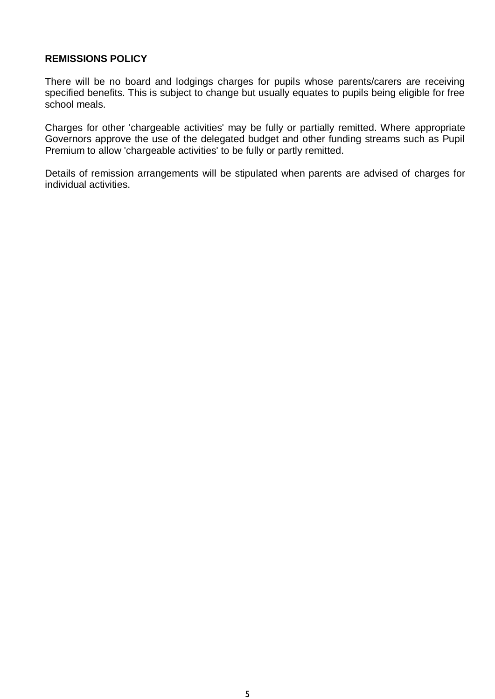## **REMISSIONS POLICY**

There will be no board and lodgings charges for pupils whose parents/carers are receiving specified benefits. This is subject to change but usually equates to pupils being eligible for free school meals.

Charges for other 'chargeable activities' may be fully or partially remitted. Where appropriate Governors approve the use of the delegated budget and other funding streams such as Pupil Premium to allow 'chargeable activities' to be fully or partly remitted.

Details of remission arrangements will be stipulated when parents are advised of charges for individual activities.